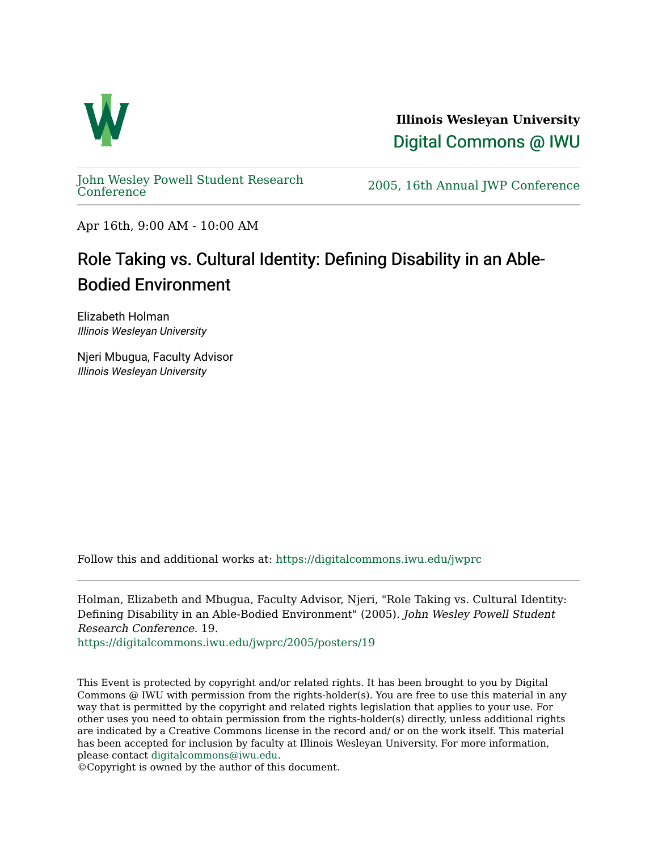

**Illinois Wesleyan University**  [Digital Commons @ IWU](https://digitalcommons.iwu.edu/) 

[John Wesley Powell Student Research](https://digitalcommons.iwu.edu/jwprc) 

2005, 16th Annual JWP [Conference](https://digitalcommons.iwu.edu/jwprc)

Apr 16th, 9:00 AM - 10:00 AM

## Role Taking vs. Cultural Identity: Defining Disability in an Able-Bodied Environment

Elizabeth Holman Illinois Wesleyan University

Njeri Mbugua, Faculty Advisor Illinois Wesleyan University

Follow this and additional works at: [https://digitalcommons.iwu.edu/jwprc](https://digitalcommons.iwu.edu/jwprc?utm_source=digitalcommons.iwu.edu%2Fjwprc%2F2005%2Fposters%2F19&utm_medium=PDF&utm_campaign=PDFCoverPages) 

Holman, Elizabeth and Mbugua, Faculty Advisor, Njeri, "Role Taking vs. Cultural Identity: Defining Disability in an Able-Bodied Environment" (2005). John Wesley Powell Student Research Conference. 19.

[https://digitalcommons.iwu.edu/jwprc/2005/posters/19](https://digitalcommons.iwu.edu/jwprc/2005/posters/19?utm_source=digitalcommons.iwu.edu%2Fjwprc%2F2005%2Fposters%2F19&utm_medium=PDF&utm_campaign=PDFCoverPages)

This Event is protected by copyright and/or related rights. It has been brought to you by Digital Commons @ IWU with permission from the rights-holder(s). You are free to use this material in any way that is permitted by the copyright and related rights legislation that applies to your use. For other uses you need to obtain permission from the rights-holder(s) directly, unless additional rights are indicated by a Creative Commons license in the record and/ or on the work itself. This material has been accepted for inclusion by faculty at Illinois Wesleyan University. For more information, please contact [digitalcommons@iwu.edu.](mailto:digitalcommons@iwu.edu)

©Copyright is owned by the author of this document.